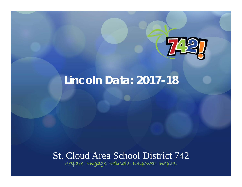

# **Lincoln Data: 2017-18**

### St. Cloud Area School District 742 Prepare. Engage. Educate. Empower. Inspire.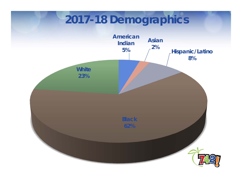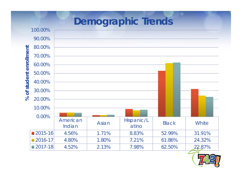

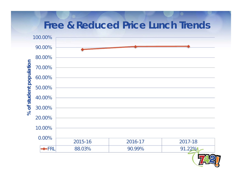## **Free & Reduced Price Lunch Trends** 100.00%90.00%80.00%% of student population **% of student population**70.00%60.00%50.00%40.00%30.00%20.00%10.00%0.00%2015-16 2016-17 2017-18  $\bigstar$ FRL 88.03% 90.99% 91.22%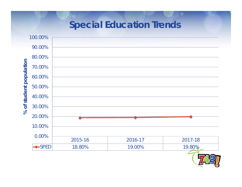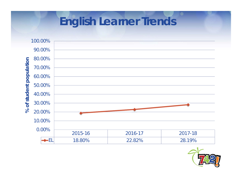

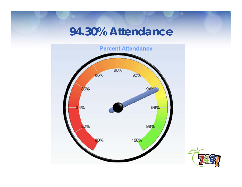# **94.30% Attendance**



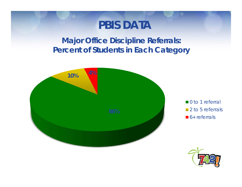## **PBIS DATA**

**Major Office Discipline Referrals: Percent of Students in Each Category**



■ 0 to 1 referral ■ 2 to 5 referrals  $6+$  referrals

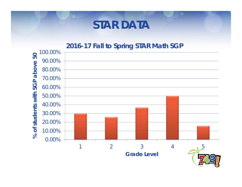## **STAR DATA**

### **2016-17 Fall to Spring STAR Math SGP**

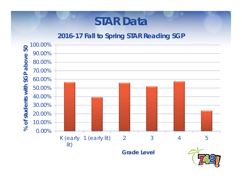# **STAR Data**

### **2016-17 Fall to Spring STAR Reading SGP**

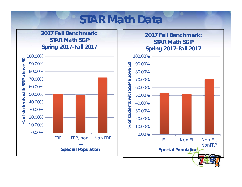# **STAR Math Data**

#### **2017 Fall Benchmark: STAR Math SGPSpring 2017-Fall 2017**



#### **2017 Fall Benchmark: STAR Math SGPSpring 2017-Fall 2017**

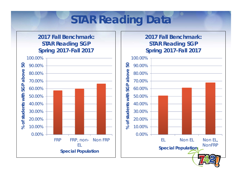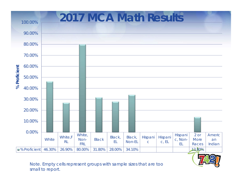

Note. Empty cells represent groups with sample sizes that are too small to report.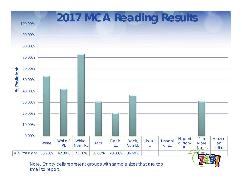

Note. Empty cells represent groups with sample sizes that are too small to report.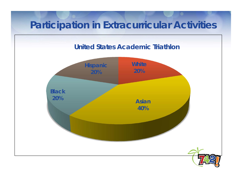# **Participation in Extracurricular Activities**

#### **United States Academic Triathlon**